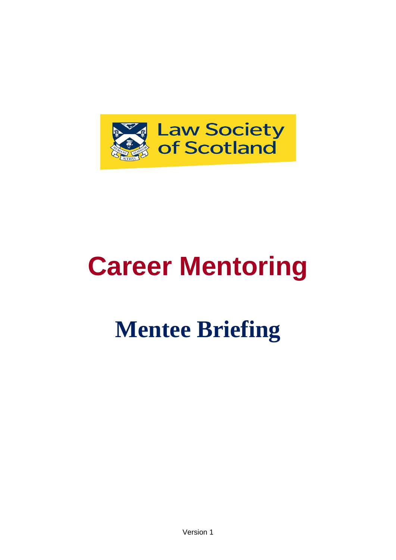

# **Career Mentoring**

## **Mentee Briefing**

Version 1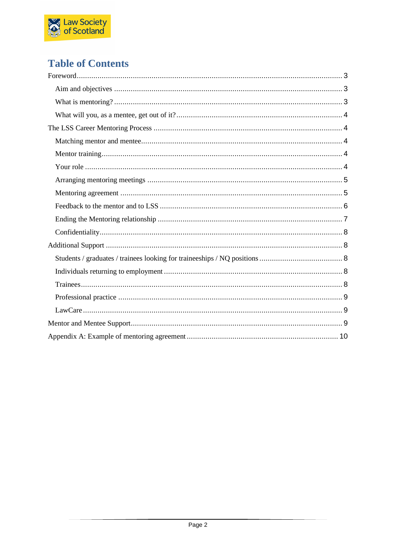

## **Table of Contents**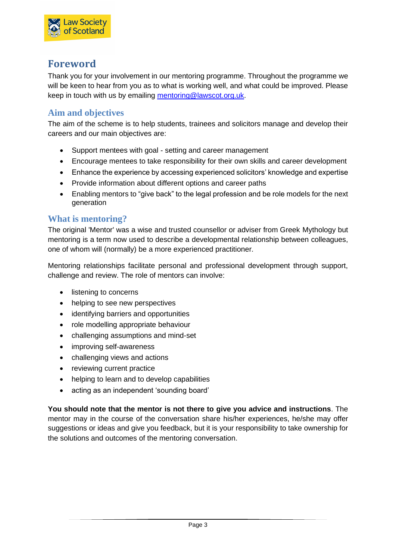

## <span id="page-2-0"></span>**Foreword**

Thank you for your involvement in our mentoring programme. Throughout the programme we will be keen to hear from you as to what is working well, and what could be improved. Please keep in touch with us by emailing [mentoring@lawscot.org.uk.](mailto:mentoring@lawscot.org.uk)

## <span id="page-2-1"></span>**Aim and objectives**

The aim of the scheme is to help students, trainees and solicitors manage and develop their careers and our main objectives are:

- Support mentees with goal setting and career management
- Encourage mentees to take responsibility for their own skills and career development
- Enhance the experience by accessing experienced solicitors' knowledge and expertise
- Provide information about different options and career paths
- Enabling mentors to "give back" to the legal profession and be role models for the next generation

## <span id="page-2-2"></span>**What is mentoring?**

The original 'Mentor' was a wise and trusted counsellor or adviser from Greek Mythology but mentoring is a term now used to describe a developmental relationship between colleagues, one of whom will (normally) be a more experienced practitioner.

Mentoring relationships facilitate personal and professional development through support, challenge and review. The role of mentors can involve:

- listening to concerns
- helping to see new perspectives
- identifying barriers and opportunities
- role modelling appropriate behaviour
- challenging assumptions and mind-set
- improving self-awareness
- challenging views and actions
- reviewing current practice
- helping to learn and to develop capabilities
- acting as an independent 'sounding board'

<span id="page-2-3"></span>**You should note that the mentor is not there to give you advice and instructions**. The mentor may in the course of the conversation share his/her experiences, he/she may offer suggestions or ideas and give you feedback, but it is your responsibility to take ownership for the solutions and outcomes of the mentoring conversation.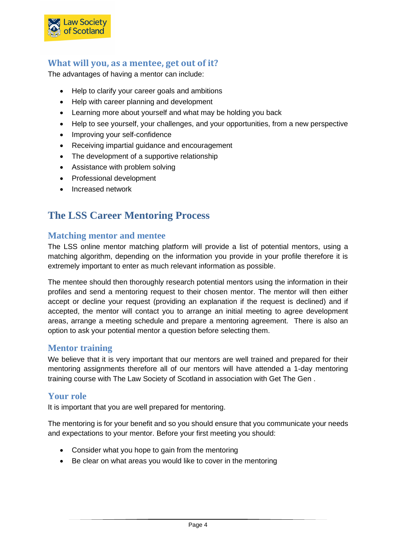

## **What will you, as a mentee, get out of it?**

The advantages of having a mentor can include:

- Help to clarify your career goals and ambitions
- Help with career planning and development
- Learning more about yourself and what may be holding you back
- Help to see yourself, your challenges, and your opportunities, from a new perspective
- Improving your self-confidence
- Receiving impartial guidance and encouragement
- The development of a supportive relationship
- Assistance with problem solving
- Professional development
- Increased network

## <span id="page-3-0"></span>**The LSS Career Mentoring Process**

## <span id="page-3-1"></span>**Matching mentor and mentee**

The LSS online mentor matching platform will provide a list of potential mentors, using a matching algorithm, depending on the information you provide in your profile therefore it is extremely important to enter as much relevant information as possible.

The mentee should then thoroughly research potential mentors using the information in their profiles and send a mentoring request to their chosen mentor. The mentor will then either accept or decline your request (providing an explanation if the request is declined) and if accepted, the mentor will contact you to arrange an initial meeting to agree development areas, arrange a meeting schedule and prepare a mentoring agreement. There is also an option to ask your potential mentor a question before selecting them.

#### <span id="page-3-2"></span>**Mentor training**

We believe that it is very important that our mentors are well trained and prepared for their mentoring assignments therefore all of our mentors will have attended a 1-day mentoring training course with The Law Society of Scotland in association with Get The Gen .

## <span id="page-3-3"></span>**Your role**

It is important that you are well prepared for mentoring.

The mentoring is for your benefit and so you should ensure that you communicate your needs and expectations to your mentor. Before your first meeting you should:

- Consider what you hope to gain from the mentoring
- Be clear on what areas you would like to cover in the mentoring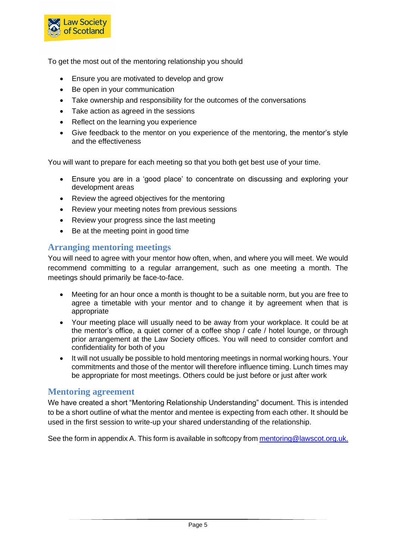

To get the most out of the mentoring relationship you should

- Ensure you are motivated to develop and grow
- Be open in your communication
- Take ownership and responsibility for the outcomes of the conversations
- Take action as agreed in the sessions
- Reflect on the learning you experience
- Give feedback to the mentor on you experience of the mentoring, the mentor's style and the effectiveness

You will want to prepare for each meeting so that you both get best use of your time.

- Ensure you are in a 'good place' to concentrate on discussing and exploring your development areas
- Review the agreed objectives for the mentoring
- Review your meeting notes from previous sessions
- Review your progress since the last meeting
- Be at the meeting point in good time

#### <span id="page-4-0"></span>**Arranging mentoring meetings**

You will need to agree with your mentor how often, when, and where you will meet. We would recommend committing to a regular arrangement, such as one meeting a month. The meetings should primarily be face-to-face.

- Meeting for an hour once a month is thought to be a suitable norm, but you are free to agree a timetable with your mentor and to change it by agreement when that is appropriate
- Your meeting place will usually need to be away from your workplace. It could be at the mentor's office, a quiet corner of a coffee shop / cafe / hotel lounge, or through prior arrangement at the Law Society offices. You will need to consider comfort and confidentiality for both of you
- It will not usually be possible to hold mentoring meetings in normal working hours. Your commitments and those of the mentor will therefore influence timing. Lunch times may be appropriate for most meetings. Others could be just before or just after work

#### <span id="page-4-1"></span>**Mentoring agreement**

We have created a short "Mentoring Relationship Understanding" document. This is intended to be a short outline of what the mentor and mentee is expecting from each other. It should be used in the first session to write-up your shared understanding of the relationship.

<span id="page-4-2"></span>See the form in appendix A. This form is available in softcopy from [mentoring@lawscot.org.uk](mailto:mentoring@lawscot.org.uk).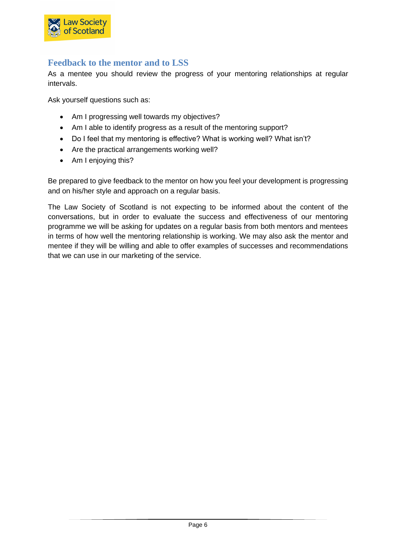

## **Feedback to the mentor and to LSS**

As a mentee you should review the progress of your mentoring relationships at regular intervals.

Ask yourself questions such as:

- Am I progressing well towards my objectives?
- Am I able to identify progress as a result of the mentoring support?
- Do I feel that my mentoring is effective? What is working well? What isn't?
- Are the practical arrangements working well?
- Am I enjoying this?

Be prepared to give feedback to the mentor on how you feel your development is progressing and on his/her style and approach on a regular basis.

<span id="page-5-0"></span>The Law Society of Scotland is not expecting to be informed about the content of the conversations, but in order to evaluate the success and effectiveness of our mentoring programme we will be asking for updates on a regular basis from both mentors and mentees in terms of how well the mentoring relationship is working. We may also ask the mentor and mentee if they will be willing and able to offer examples of successes and recommendations that we can use in our marketing of the service.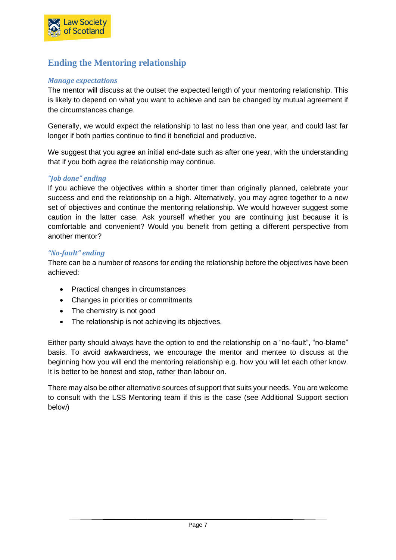

## **Ending the Mentoring relationship**

#### *Manage expectations*

The mentor will discuss at the outset the expected length of your mentoring relationship. This is likely to depend on what you want to achieve and can be changed by mutual agreement if the circumstances change.

Generally, we would expect the relationship to last no less than one year, and could last far longer if both parties continue to find it beneficial and productive.

We suggest that you agree an initial end-date such as after one year, with the understanding that if you both agree the relationship may continue.

#### *"Job done" ending*

If you achieve the objectives within a shorter timer than originally planned, celebrate your success and end the relationship on a high. Alternatively, you may agree together to a new set of objectives and continue the mentoring relationship. We would however suggest some caution in the latter case. Ask yourself whether you are continuing just because it is comfortable and convenient? Would you benefit from getting a different perspective from another mentor?

#### *"No-fault" ending*

There can be a number of reasons for ending the relationship before the objectives have been achieved:

- Practical changes in circumstances
- Changes in priorities or commitments
- The chemistry is not good
- The relationship is not achieving its objectives.

Either party should always have the option to end the relationship on a "no-fault", "no-blame" basis. To avoid awkwardness, we encourage the mentor and mentee to discuss at the beginning how you will end the mentoring relationship e.g. how you will let each other know. It is better to be honest and stop, rather than labour on.

<span id="page-6-0"></span>There may also be other alternative sources of support that suits your needs. You are welcome to consult with the LSS Mentoring team if this is the case (see Additional Support section below)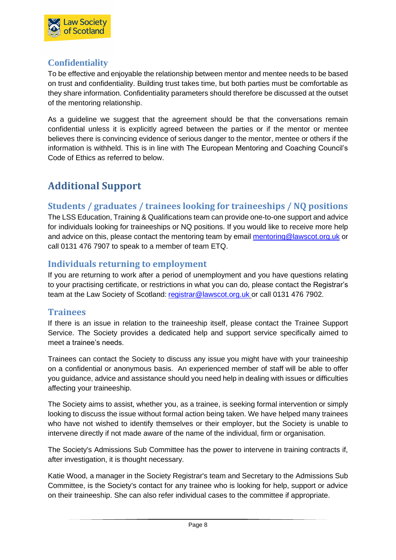

## **Confidentiality**

To be effective and enjoyable the relationship between mentor and mentee needs to be based on trust and confidentiality. Building trust takes time, but both parties must be comfortable as they share information. Confidentiality parameters should therefore be discussed at the outset of the mentoring relationship.

As a guideline we suggest that the agreement should be that the conversations remain confidential unless it is explicitly agreed between the parties or if the mentor or mentee believes there is convincing evidence of serious danger to the mentor, mentee or others if the information is withheld. This is in line with The European Mentoring and Coaching Council's Code of Ethics as referred to below.

## <span id="page-7-0"></span>**Additional Support**

## <span id="page-7-1"></span>**Students / graduates / trainees looking for traineeships / NQ positions**

The LSS Education, Training & Qualifications team can provide one-to-one support and advice for individuals looking for traineeships or NQ positions. If you would like to receive more help and advice on this, please contact the mentoring team by email [mentoring@lawscot.org.uk](mailto:mentoring@lawscot.org.uk) or call 0131 476 7907 to speak to a member of team ETQ.

## <span id="page-7-2"></span>**Individuals returning to employment**

If you are returning to work after a period of unemployment and you have questions relating to your practising certificate, or restrictions in what you can do, please contact the Registrar's team at the Law Society of Scotland: [registrar@lawscot.org.uk](mailto:registrar@lawscot.org.uk) or call 0131 476 7902.

## <span id="page-7-3"></span>**Trainees**

If there is an issue in relation to the traineeship itself, please contact the Trainee Support Service. The Society provides a dedicated help and support service specifically aimed to meet a trainee's needs.

Trainees can contact the Society to discuss any issue you might have with your traineeship on a confidential or anonymous basis. An experienced member of staff will be able to offer you guidance, advice and assistance should you need help in dealing with issues or difficulties affecting your traineeship.

The Society aims to assist, whether you, as a trainee, is seeking formal intervention or simply looking to discuss the issue without formal action being taken. We have helped many trainees who have not wished to identify themselves or their employer, but the Society is unable to intervene directly if not made aware of the name of the individual, firm or organisation.

The Society's Admissions Sub Committee has the power to intervene in training contracts if, after investigation, it is thought necessary.

Katie Wood, a manager in the Society Registrar's team and Secretary to the Admissions Sub Committee, is the Society's contact for any trainee who is looking for help, support or advice on their traineeship. She can also refer individual cases to the committee if appropriate.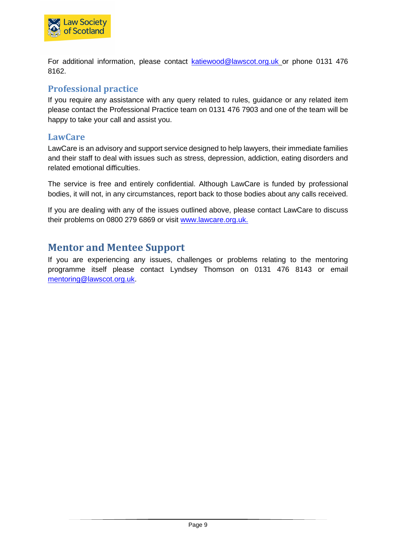

For additional information, please contact **katiewood@lawscot.org.uk** or phone 0131 476 8162.

## <span id="page-8-0"></span>**Professional practice**

If you require any assistance with any query related to rules, guidance or any related item please contact the Professional Practice team on 0131 476 7903 and one of the team will be happy to take your call and assist you.

#### <span id="page-8-1"></span>**LawCare**

LawCare is an advisory and support service designed to help lawyers, their immediate families and their staff to deal with issues such as stress, depression, addiction, eating disorders and related emotional difficulties.

The service is free and entirely confidential. Although LawCare is funded by professional bodies, it will not, in any circumstances, report back to those bodies about any calls received.

If you are dealing with any of the issues outlined above, please contact LawCare to discuss their problems on 0800 279 6869 or visit [www.lawcare.org.uk.](http://www.lawcare.org.uk/)

## <span id="page-8-2"></span>**Mentor and Mentee Support**

If you are experiencing any issues, challenges or problems relating to the mentoring programme itself please contact Lyndsey Thomson on 0131 476 8143 or email [mentoring@lawscot.org.uk.](mailto:mentoring@lawscot.org.uk)